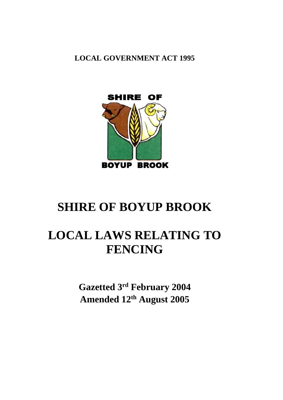**LOCAL GOVERNMENT ACT 1995**



# **SHIRE OF BOYUP BROOK**

# **LOCAL LAWS RELATING TO FENCING**

**Gazetted 3rd February 2004 Amended 12 th August 2005**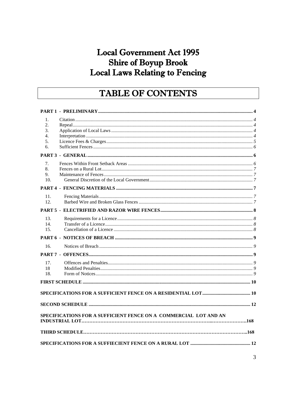# **Local Government Act 1995 Shire of Boyup Brook** Local Laws Relating to Fencing

# TABLE OF CONTENTS

| 1.<br>2.<br>3.<br>4.<br>5. |                                                                  |  |
|----------------------------|------------------------------------------------------------------|--|
| 6.                         |                                                                  |  |
|                            |                                                                  |  |
| 7.<br>8.<br>9.<br>10.      |                                                                  |  |
|                            |                                                                  |  |
| 11.<br>12.                 |                                                                  |  |
|                            |                                                                  |  |
| 13.<br>14.<br>15.          |                                                                  |  |
|                            |                                                                  |  |
| 16.                        |                                                                  |  |
|                            |                                                                  |  |
| 17.<br>18<br>18.           |                                                                  |  |
|                            |                                                                  |  |
|                            |                                                                  |  |
|                            |                                                                  |  |
|                            | SPECIFICATIONS FOR A SUFFICIENT FENCE ON A COMMERCIAL LOT AND AN |  |
|                            |                                                                  |  |
|                            |                                                                  |  |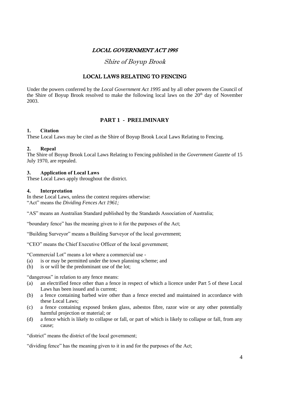# LOCAL GOVERNMENT ACT 1995

Shire of Boyup Brook

# LOCAL LAWS RELATING TO FENCING

Under the powers conferred by the *Local Government Act 1995* and by all other powers the Council of the Shire of Boyup Brook resolved to make the following local laws on the  $20<sup>th</sup>$  day of November 2003.

# **PART 1 - PRELIMINARY**

#### **1. Citation**

These Local Laws may be cited as the Shire of Boyup Brook Local Laws Relating to Fencing.

#### **2. Repeal**

The Shire of Boyup Brook Local Laws Relating to Fencing published in the *Government Gazette* of 15 July 1970, are repealed.

#### **3. Application of Local Laws**

These Local Laws apply throughout the district.

#### **4. Interpretation**

In these Local Laws, unless the context requires otherwise: "Act" means the *Dividing Fences Act 1961;*

"AS" means an Australian Standard published by the Standards Association of Australia;

"boundary fence" has the meaning given to it for the purposes of the Act;

"Building Surveyor" means a Building Surveyor of the local government;

"CEO" means the Chief Executive Officer of the local government;

"Commercial Lot" means a lot where a commercial use -

- (a) is or may be permitted under the town planning scheme; and
- (b) is or will be the predominant use of the lot;

"dangerous" in relation to any fence means:

- (a) an electrified fence other than a fence in respect of which a licence under Part 5 of these Local Laws has been issued and is current;
- (b) a fence containing barbed wire other than a fence erected and maintained in accordance with these Local Laws;
- (c) a fence containing exposed broken glass, asbestos fibre, razor wire or any other potentially harmful projection or material; or
- (d) a fence which is likely to collapse or fall, or part of which is likely to collapse or fall, from any cause;

"district" means the district of the local government;

"dividing fence" has the meaning given to it in and for the purposes of the Act;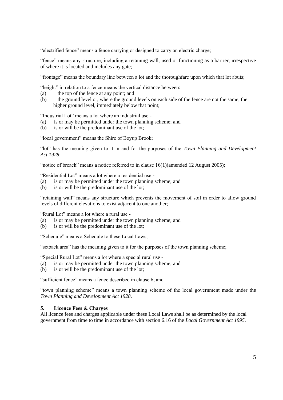"electrified fence" means a fence carrying or designed to carry an electric charge;

"fence" means any structure, including a retaining wall, used or functioning as a barrier, irrespective of where it is located and includes any gate;

"frontage" means the boundary line between a lot and the thoroughfare upon which that lot abuts;

"height" in relation to a fence means the vertical distance between:

- (a) the top of the fence at any point; and
- (b) the ground level or, where the ground levels on each side of the fence are not the same, the higher ground level, immediately below that point;

"Industrial Lot" means a lot where an industrial use -

- (a) is or may be permitted under the town planning scheme; and
- (b) is or will be the predominant use of the lot;

"local government" means the Shire of Boyup Brook;

"lot" has the meaning given to it in and for the purposes of the *Town Planning and Development Act 1928*;

"notice of breach" means a notice referred to in clause 16(1)(amended 12 August 2005);

"Residential Lot" means a lot where a residential use -

- (a) is or may be permitted under the town planning scheme; and
- (b) is or will be the predominant use of the lot;

"retaining wall" means any structure which prevents the movement of soil in order to allow ground levels of different elevations to exist adjacent to one another;

"Rural Lot" means a lot where a rural use -

- (a) is or may be permitted under the town planning scheme; and
- (b) is or will be the predominant use of the lot;

"Schedule" means a Schedule to these Local Laws;

"setback area" has the meaning given to it for the purposes of the town planning scheme;

"Special Rural Lot" means a lot where a special rural use -

- (a) is or may be permitted under the town planning scheme; and
- (b) is or will be the predominant use of the lot;

"sufficient fence" means a fence described in clause 6; and

"town planning scheme" means a town planning scheme of the local government made under the *Town Planning and Development Act 1928*.

#### **5. Licence Fees & Charges**

All licence fees and charges applicable under these Local Laws shall be as determined by the local government from time to time in accordance with section 6.16 of the *Local Government Act 1995*.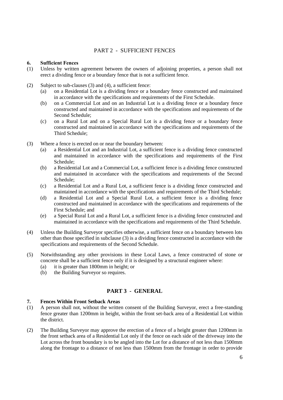## PART 2 - SUFFICIENT FENCES

#### **6. Sufficient Fences**

- (1) Unless by written agreement between the owners of adjoining properties, a person shall not erect a dividing fence or a boundary fence that is not a sufficient fence.
- (2) Subject to sub-clauses (3) and (4), a sufficient fence:
	- (a) on a Residential Lot is a dividing fence or a boundary fence constructed and maintained in accordance with the specifications and requirements of the First Schedule.
	- (b) on a Commercial Lot and on an Industrial Lot is a dividing fence or a boundary fence constructed and maintained in accordance with the specifications and requirements of the Second Schedule;
	- (c) on a Rural Lot and on a Special Rural Lot is a dividing fence or a boundary fence constructed and maintained in accordance with the specifications and requirements of the Third Schedule;
- (3) Where a fence is erected on or near the boundary between:
	- (a) a Residential Lot and an Industrial Lot, a sufficient fence is a dividing fence constructed and maintained in accordance with the specifications and requirements of the First Schedule;
	- (b) a Residential Lot and a Commercial Lot, a sufficient fence is a dividing fence constructed and maintained in accordance with the specifications and requirements of the Second Schedule;
	- (c) a Residential Lot and a Rural Lot, a sufficient fence is a dividing fence constructed and maintained in accordance with the specifications and requirements of the Third Schedule;
	- (d) a Residential Lot and a Special Rural Lot, a sufficient fence is a dividing fence constructed and maintained in accordance with the specifications and requirements of the First Schedule; and
	- (e) a Special Rural Lot and a Rural Lot, a sufficient fence is a dividing fence constructed and maintained in accordance with the specifications and requirements of the Third Schedule.
- (4) Unless the Building Surveyor specifies otherwise, a sufficient fence on a boundary between lots other than those specified in subclause (3) is a dividing fence constructed in accordance with the specifications and requirements of the Second Schedule.
- (5) Notwithstanding any other provisions in these Local Laws, a fence constructed of stone or concrete shall be a sufficient fence only if it is designed by a structural engineer where:
	- (a) it is greater than 1800mm in height; or
	- (b) the Building Surveyor so requires.

### **PART 3 - GENERAL**

#### **7. Fences Within Front Setback Areas**

- (1) A person shall not, without the written consent of the Building Surveyor, erect a free-standing fence greater than 1200mm in height, within the front set-back area of a Residential Lot within the district.
- (2) The Building Surveyor may approve the erection of a fence of a height greater than 1200mm in the front setback area of a Residential Lot only if the fence on each side of the driveway into the Lot across the front boundary is to be angled into the Lot for a distance of not less than 1500mm along the frontage to a distance of not less than 1500mm from the frontage in order to provide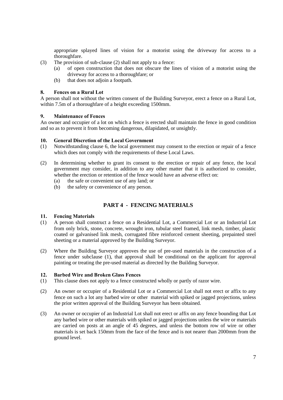appropriate splayed lines of vision for a motorist using the driveway for access to a thoroughfare.

- (3) The provision of sub-clause (2) shall not apply to a fence:
	- (a) of open construction that does not obscure the lines of vision of a motorist using the driveway for access to a thoroughfare; or
	- (b) that does not adjoin a footpath.

#### **8. Fences on a Rural Lot**

A person shall not without the written consent of the Building Surveyor, erect a fence on a Rural Lot, within 7.5m of a thoroughfare of a height exceeding 1500mm.

#### **9. Maintenance of Fences**

An owner and occupier of a lot on which a fence is erected shall maintain the fence in good condition and so as to prevent it from becoming dangerous, dilapidated, or unsightly.

#### **10. General Discretion of the Local Government**

- (1) Notwithstanding clause 6, the local government may consent to the erection or repair of a fence which does not comply with the requirements of these Local Laws.
- (2) In determining whether to grant its consent to the erection or repair of any fence, the local government may consider, in addition to any other matter that it is authorized to consider, whether the erection or retention of the fence would have an adverse effect on:
	- (a) the safe or convenient use of any land; or
	- (b) the safety or convenience of any person.

# **PART 4 - FENCING MATERIALS**

#### **11. Fencing Materials**

- (1) A person shall construct a fence on a Residential Lot, a Commercial Lot or an Industrial Lot from only brick, stone, concrete, wrought iron, tubular steel framed, link mesh, timber, plastic coated or galvanised link mesh, corrugated fibre reinforced cement sheeting, prepainted steel sheeting or a material approved by the Building Surveyor.
- (2) Where the Building Surveyor approves the use of pre-used materials in the construction of a fence under subclause (1), that approval shall be conditional on the applicant for approval painting or treating the pre-used material as directed by the Building Surveyor.

#### **12. Barbed Wire and Broken Glass Fences**

- (1) This clause does not apply to a fence constructed wholly or partly of razor wire.
- (2) An owner or occupier of a Residential Lot or a Commercial Lot shall not erect or affix to any fence on such a lot any barbed wire or other material with spiked or jagged projections, unless the prior written approval of the Building Surveyor has been obtained.
- (3) An owner or occupier of an Industrial Lot shall not erect or affix on any fence bounding that Lot any barbed wire or other materials with spiked or jagged projections unless the wire or materials are carried on posts at an angle of 45 degrees, and unless the bottom row of wire or other materials is set back 150mm from the face of the fence and is not nearer than 2000mm from the ground level.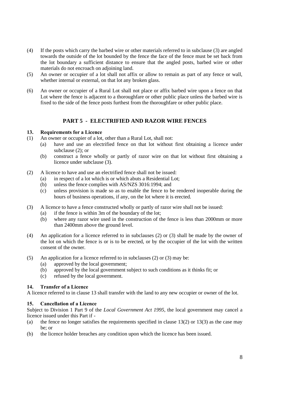- (4) If the posts which carry the barbed wire or other materials referred to in subclause (3) are angled towards the outside of the lot bounded by the fence the face of the fence must be set back from the lot boundary a sufficient distance to ensure that the angled posts, barbed wire or other materials do not encroach on adjoining land.
- (5) An owner or occupier of a lot shall not affix or allow to remain as part of any fence or wall, whether internal or external, on that lot any broken glass.
- (6) An owner or occupier of a Rural Lot shall not place or affix barbed wire upon a fence on that Lot where the fence is adjacent to a thoroughfare or other public place unless the barbed wire is fixed to the side of the fence posts furthest from the thoroughfare or other public place.

# **PART 5 - ELECTRIFIED AND RAZOR WIRE FENCES**

#### **13. Requirements for a Licence**

- (1) An owner or occupier of a lot, other than a Rural Lot, shall not:
	- (a) have and use an electrified fence on that lot without first obtaining a licence under subclause (2); or
	- (b) construct a fence wholly or partly of razor wire on that lot without first obtaining a licence under subclause (3).
- (2) A licence to have and use an electrified fence shall not be issued:
	- (a) in respect of a lot which is or which abuts a Residential Lot;
	- (b) unless the fence complies with AS/NZS 3016:1994; and
	- (c) unless provision is made so as to enable the fence to be rendered inoperable during the hours of business operations, if any, on the lot where it is erected.
- (3) A licence to have a fence constructed wholly or partly of razor wire shall not be issued:
	- (a) if the fence is within 3m of the boundary of the lot;
	- (b) where any razor wire used in the construction of the fence is less than 2000mm or more than 2400mm above the ground level.
- (4) An application for a licence referred to in subclauses (2) or (3) shall be made by the owner of the lot on which the fence is or is to be erected, or by the occupier of the lot with the written consent of the owner.
- (5) An application for a licence referred to in subclauses (2) or (3) may be:
	- (a) approved by the local government;
	- (b) approved by the local government subject to such conditions as it thinks fit; or
	- (c) refused by the local government.

### **14. Transfer of a Licence**

A licence referred to in clause 13 shall transfer with the land to any new occupier or owner of the lot.

### **15. Cancellation of a Licence**

Subject to Division 1 Part 9 of the *Local Government Act 1995*, the local government may cancel a licence issued under this Part if -

- (a) the fence no longer satisfies the requirements specified in clause  $13(2)$  or  $13(3)$  as the case may be; or
- (b) the licence holder breaches any condition upon which the licence has been issued.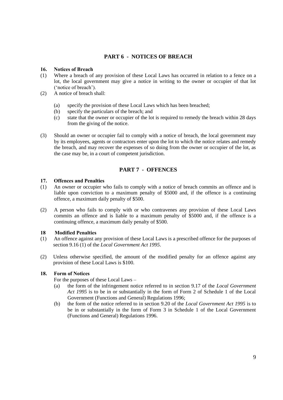# **PART 6 - NOTICES OF BREACH**

#### **16. Notices of Breach**

- (1) Where a breach of any provision of these Local Laws has occurred in relation to a fence on a lot, the local government may give a notice in writing to the owner or occupier of that lot ('notice of breach').
- (2) A notice of breach shall:
	- (a) specify the provision of these Local Laws which has been breached;
	- (b) specify the particulars of the breach; and
	- (c) state that the owner or occupier of the lot is required to remedy the breach within 28 days from the giving of the notice.
- (3) Should an owner or occupier fail to comply with a notice of breach, the local government may by its employees, agents or contractors enter upon the lot to which the notice relates and remedy the breach, and may recover the expenses of so doing from the owner or occupier of the lot, as the case may be, in a court of competent jurisdiction.

# **PART 7 - OFFENCES**

#### **17. Offences and Penalties**

- (1) An owner or occupier who fails to comply with a notice of breach commits an offence and is liable upon conviction to a maximum penalty of \$5000 and, if the offence is a continuing offence, a maximum daily penalty of \$500.
- (2) A person who fails to comply with or who contravenes any provision of these Local Laws commits an offence and is liable to a maximum penalty of \$5000 and, if the offence is a continuing offence, a maximum daily penalty of \$500.

#### **18 Modified Penalties**

- (1) An offence against any provision of these Local Laws is a prescribed offence for the purposes of section 9.16 (1) of the *Local Government Act 1995*.
- (2) Unless otherwise specified, the amount of the modified penalty for an offence against any provision of these Local Laws is \$100.

#### **18. Form of Notices**

For the purposes of these Local Laws –

- (a) the form of the infringement notice referred to in section 9.17 of the *Local Government Act 1995* is to be in or substantially in the form of Form 2 of Schedule 1 of the Local Government (Functions and General) Regulations 1996;
- (b) the form of the notice referred to in section 9.20 of the *Local Government Act 1995* is to be in or substantially in the form of Form 3 in Schedule 1 of the Local Government (Functions and General) Regulations 1996.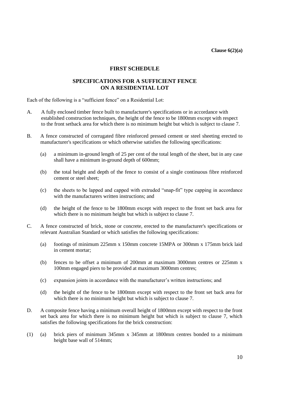**Clause 6(2)(a)**

#### **FIRST SCHEDULE**

## **SPECIFICATIONS FOR A SUFFICIENT FENCE ON A RESIDENTIAL LOT**

Each of the following is a "sufficient fence" on a Residential Lot:

- A. A fully enclosed timber fence built to manufacturer's specifications or in accordance with established construction techniques, the height of the fence to be 1800mm except with respect to the front setback area for which there is no minimum height but which is subject to clause 7.
- B. A fence constructed of corrugated fibre reinforced pressed cement or steel sheeting erected to manufacturer's specifications or which otherwise satisfies the following specifications:
	- (a) a minimum in-ground length of 25 per cent of the total length of the sheet, but in any case shall have a minimum in-ground depth of 600mm;
	- (b) the total height and depth of the fence to consist of a single continuous fibre reinforced cement or steel sheet;
	- (c) the sheets to be lapped and capped with extruded "snap-fit" type capping in accordance with the manufacturers written instructions; and
	- (d) the height of the fence to be 1800mm except with respect to the front set back area for which there is no minimum height but which is subject to clause 7.
- C. A fence constructed of brick, stone or concrete, erected to the manufacturer's specifications or relevant Australian Standard or which satisfies the following specifications:
	- (a) footings of minimum 225mm x 150mm concrete 15MPA or 300mm x 175mm brick laid in cement mortar;
	- (b) fences to be offset a minimum of 200mm at maximum 3000mm centres or 225mm x 100mm engaged piers to be provided at maximum 3000mm centres;
	- (c) expansion joints in accordance with the manufacturer's written instructions; and
	- (d) the height of the fence to be 1800mm except with respect to the front set back area for which there is no minimum height but which is subject to clause 7.
- D. A composite fence having a minimum overall height of 1800mm except with respect to the front set back area for which there is no minimum height but which is subject to clause 7, which satisfies the following specifications for the brick construction:
- (1) (a) brick piers of minimum 345mm x 345mm at 1800mm centres bonded to a minimum height base wall of 514mm;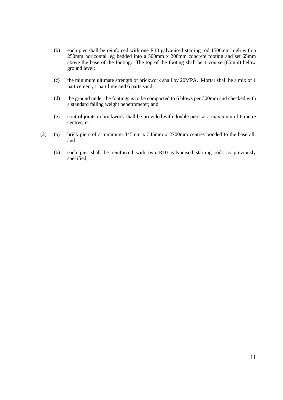- (b) each pier shall be reinforced with one R10 galvanised starting rod 1500mm high with a 250mm horizontal leg bedded into a 500mm x 200mm concrete footing and set 65mm above the base of the footing. The top of the footing shall be 1 course (85mm) below ground level;
- (c) the minimum ultimate strength of brickwork shall by 20MPA. Mortar shall be a mix of 1 part cement, 1 part lime and 6 parts sand;
- (d) the ground under the footings is to be compacted to 6 blows per 300mm and checked with a standard falling weight penetrometer; and
- (e) control joints in brickwork shall be provided with double piers at a maximum of 6 metre centres; or
- (2) (a) brick piers of a minimum 345mm x 345mm x 2700mm centres bonded to the base all; and
	- (b) each pier shall be reinforced with two R10 galvanised starting rods as previously specified;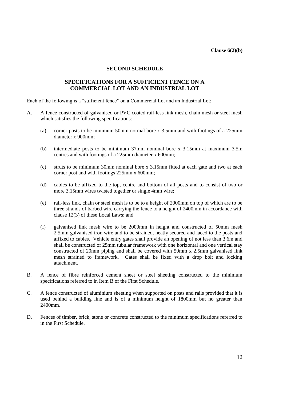**Clause 6(2)(b)**

#### **SECOND SCHEDULE**

## **SPECIFICATIONS FOR A SUFFICIENT FENCE ON A COMMERCIAL LOT AND AN INDUSTRIAL LOT**

Each of the following is a "sufficient fence" on a Commercial Lot and an Industrial Lot:

- A. A fence constructed of galvanised or PVC coated rail-less link mesh, chain mesh or steel mesh which satisfies the following specifications:
	- (a) corner posts to be minimum 50mm normal bore x 3.5mm and with footings of a 225mm diameter x 900mm;
	- (b) intermediate posts to be minimum 37mm nominal bore x 3.15mm at maximum 3.5m centres and with footings of a 225mm diameter x 600mm;
	- (c) struts to be minimum 30mm nominal bore x 3.15mm fitted at each gate and two at each corner post and with footings 225mm x 600mm;
	- (d) cables to be affixed to the top, centre and bottom of all posts and to consist of two or more 3.15mm wires twisted together or single 4mm wire;
	- (e) rail-less link, chain or steel mesh is to be to a height of 2000mm on top of which are to be three strands of barbed wire carrying the fence to a height of 2400mm in accordance with clause 12(3) of these Local Laws; and
	- (f) galvanised link mesh wire to be 2000mm in height and constructed of 50mm mesh 2.5mm galvanised iron wire and to be strained, neatly secured and laced to the posts and affixed to cables. Vehicle entry gates shall provide an opening of not less than 3.6m and shall be constructed of 25mm tubular framework with one horizontal and one vertical stay constructed of 20mm piping and shall be covered with 50mm x 2.5mm galvanised link mesh strained to framework. Gates shall be fixed with a drop bolt and locking attachment.
- B. A fence of fibre reinforced cement sheet or steel sheeting constructed to the minimum specifications referred to in Item B of the First Schedule.
- C. A fence constructed of aluminium sheeting when supported on posts and rails provided that it is used behind a building line and is of a minimum height of 1800mm but no greater than 2400mm.
- D. Fences of timber, brick, stone or concrete constructed to the minimum specifications referred to in the First Schedule.